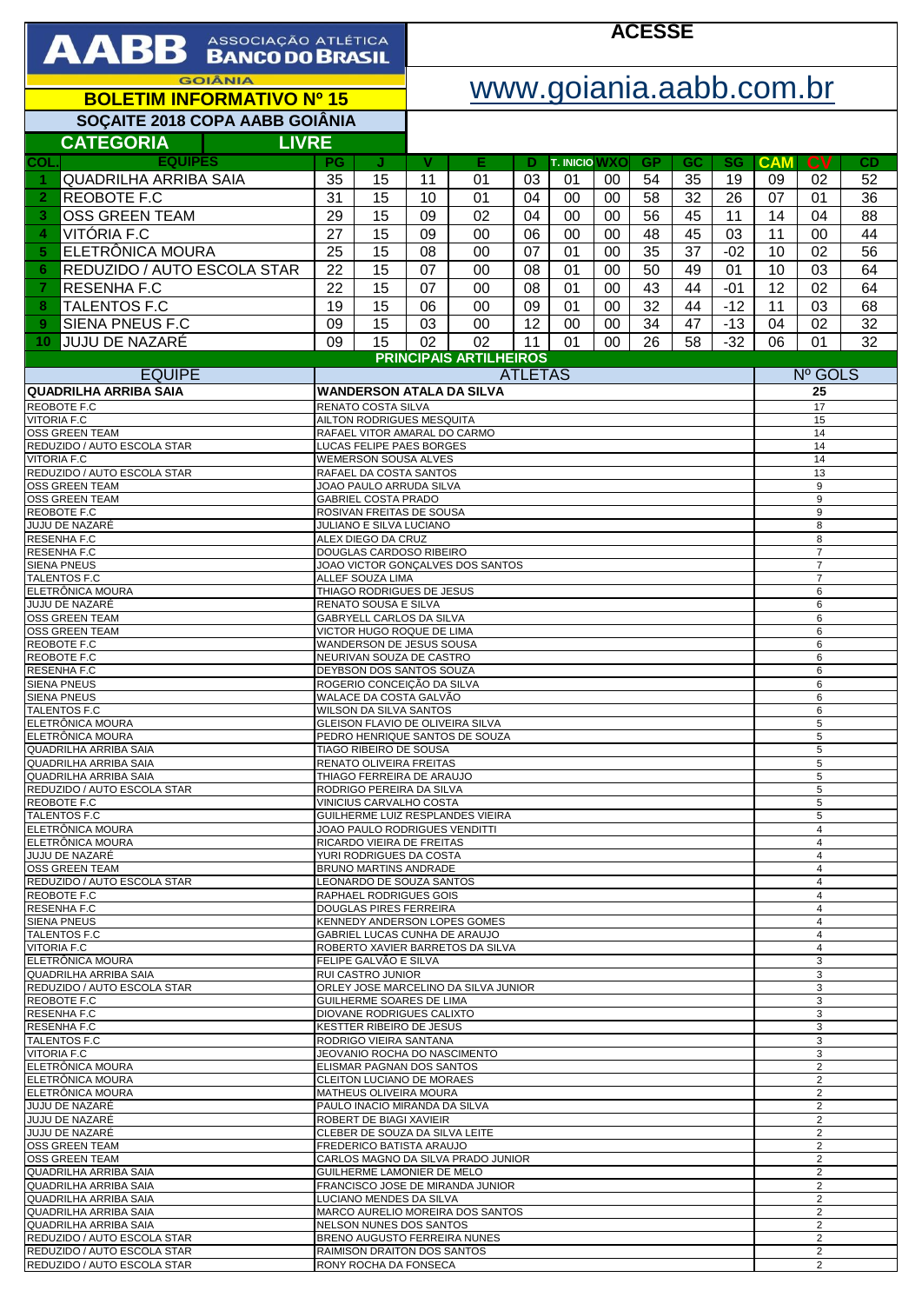| <b>AABB</b> ASSOCIAÇÃO ATLÉTICA                              |                                                                                                              |                                                                   | <b>ACESSE</b>           |                                      |          |                            |          |                                  |          |                                  |                                  |                                           |          |  |
|--------------------------------------------------------------|--------------------------------------------------------------------------------------------------------------|-------------------------------------------------------------------|-------------------------|--------------------------------------|----------|----------------------------|----------|----------------------------------|----------|----------------------------------|----------------------------------|-------------------------------------------|----------|--|
| <b>GOIÂNIA</b>                                               |                                                                                                              |                                                                   | www.goiania.aabb.com.br |                                      |          |                            |          |                                  |          |                                  |                                  |                                           |          |  |
| <b>BOLETIM INFORMATIVO Nº 15</b>                             |                                                                                                              |                                                                   |                         |                                      |          |                            |          |                                  |          |                                  |                                  |                                           |          |  |
| SOÇAITE 2018 COPA AABB GOIÂNIA                               |                                                                                                              |                                                                   |                         |                                      |          |                            |          |                                  |          |                                  |                                  |                                           |          |  |
| <b>CATEGORIA</b><br><b>LIVRE</b><br><b>EQUIPES</b><br>COL.   | <b>PG</b>                                                                                                    |                                                                   | v                       | Е                                    |          |                            |          | <b>GP</b>                        |          |                                  |                                  | <b>CV</b>                                 |          |  |
| <b>QUADRILHA ARRIBA SAIA</b><br>1                            | 35                                                                                                           | J<br>15                                                           | 11                      | 01                                   | Ð<br>03  | <b>T. INICIO WXO</b><br>01 | 00       | 54                               | GC<br>35 | <b>SG</b><br>19                  | <b>CAM</b><br>09                 | 02                                        | CD<br>52 |  |
| REOBOTE F.C<br>$\overline{2}$                                | 31                                                                                                           | 15                                                                | 10                      | 01                                   | 04       | 00                         | 00       | 58                               | 32       | 26                               | 07                               | 01                                        | 36       |  |
| <b>OSS GREEN TEAM</b><br>3                                   | 29                                                                                                           | 15                                                                | 09                      | 02                                   | 04       | 00                         | 00       | 56                               | 45       | 11                               | 14                               | 04                                        | 88       |  |
| VITÓRIA F.C<br>4<br>ELETRÔNICA MOURA<br>5                    | 27<br>25                                                                                                     | 15<br>15                                                          | 09<br>08                | 00<br>00                             | 06<br>07 | 00<br>01                   | 00<br>00 | 48<br>35                         | 45<br>37 | 03<br>$-02$                      | 11<br>10                         | 00<br>02                                  | 44<br>56 |  |
| REDUZIDO / AUTO ESCOLA STAR<br>6                             | 22                                                                                                           | 15                                                                | 07                      | 00                                   | 08       | 01                         | 00       | 50                               | 49       | 01                               | 10                               | 03                                        | 64       |  |
| <b>RESENHA F.C</b><br>7                                      | 22                                                                                                           | 15                                                                | 07                      | 00                                   | 08       | 01                         | 00       | 43                               | 44       | $-01$                            | 12                               | 02                                        | 64       |  |
| TALENTOS F.C<br>8                                            | 19                                                                                                           | 15                                                                | 06                      | 00                                   | 09       | 01                         | 00       | $\overline{32}$                  | 44       | $-12$                            | 11                               | 03                                        | 68       |  |
| SIENA PNEUS F.C<br>9<br><b>JUJU DE NAZARÉ</b><br>10          | 09<br>09                                                                                                     | 15<br>15                                                          | 03<br>02                | 00<br>02                             | 12<br>11 | 00<br>01                   | 00<br>00 | 34<br>26                         | 47<br>58 | $-13$<br>$-32$                   | 04<br>06                         | 02<br>01                                  | 32<br>32 |  |
|                                                              |                                                                                                              |                                                                   |                         | <b>PRINCIPAIS ARTILHEIROS</b>        |          |                            |          |                                  |          |                                  |                                  |                                           |          |  |
| <b>EQUIPE</b>                                                |                                                                                                              |                                                                   | <b>ATLETAS</b>          |                                      |          |                            |          |                                  |          | Nº GOLS                          |                                  |                                           |          |  |
| <b>QUADRILHA ARRIBA SAIA</b><br><b>REOBOTE F.C</b>           |                                                                                                              | RENATO COSTA SILVA                                                |                         | <b>WANDERSON ATALA DA SILVA</b>      |          |                            |          |                                  |          |                                  | 25<br>17                         |                                           |          |  |
| <b>VITORIA F.C</b><br><b>OSS GREEN TEAM</b>                  |                                                                                                              | <b>AILTON RODRIGUES MESQUITA</b><br>RAFAEL VITOR AMARAL DO CARMO  |                         |                                      |          |                            |          |                                  |          |                                  |                                  | 15<br>14                                  |          |  |
| REDUZIDO / AUTO ESCOLA STAR                                  |                                                                                                              | LUCAS FELIPE PAES BORGES                                          |                         |                                      |          |                            |          |                                  |          |                                  |                                  | 14                                        |          |  |
| <b>VITORIA F.C</b><br>REDUZIDO / AUTO ESCOLA STAR            | WEMERSON SOUSA ALVES<br>14<br>RAFAEL DA COSTA SANTOS<br>13                                                   |                                                                   |                         |                                      |          |                            |          |                                  |          |                                  |                                  |                                           |          |  |
| <b>OSS GREEN TEAM</b><br><b>OSS GREEN TEAM</b>               |                                                                                                              | JOAO PAULO ARRUDA SILVA                                           |                         |                                      |          |                            |          |                                  |          |                                  |                                  | 9                                         |          |  |
| <b>REOBOTE F.C</b>                                           | 9<br><b>GABRIEL COSTA PRADO</b><br>ROSIVAN FREITAS DE SOUSA<br>9                                             |                                                                   |                         |                                      |          |                            |          |                                  |          |                                  |                                  |                                           |          |  |
| JUJU DE NAZARÉ<br><b>RESENHA F.C</b>                         | JULIANO E SILVA LUCIANO<br>ALEX DIEGO DA CRUZ                                                                |                                                                   |                         |                                      |          |                            |          |                                  | 8<br>8   |                                  |                                  |                                           |          |  |
| <b>RESENHA F.C</b><br><b>SIENA PNEUS</b>                     | DOUGLAS CARDOSO RIBEIRO<br>JOAO VICTOR GONCALVES DOS SANTOS                                                  |                                                                   |                         |                                      |          |                            |          |                                  |          | $\overline{7}$<br>$\overline{7}$ |                                  |                                           |          |  |
| <b>TALENTOS F.C</b><br>ELETRÔNICA MOURA                      | ALLEF SOUZA LIMA                                                                                             |                                                                   |                         |                                      |          |                            |          |                                  |          | $\overline{7}$                   |                                  |                                           |          |  |
| JUJU DE NAZARÉ                                               | THIAGO RODRIGUES DE JESUS<br>RENATO SOUSA E SILVA                                                            |                                                                   |                         |                                      |          |                            |          |                                  | 6<br>6   |                                  |                                  |                                           |          |  |
| <b>OSS GREEN TEAM</b><br><b>OSS GREEN TEAM</b>               |                                                                                                              | GABRYELL CARLOS DA SILVA<br>VICTOR HUGO ROQUE DE LIMA             |                         |                                      |          |                            |          |                                  |          |                                  |                                  | 6<br>6                                    |          |  |
| REOBOTE F.C                                                  |                                                                                                              | WANDERSON DE JESUS SOUSA                                          |                         |                                      |          |                            |          |                                  |          |                                  |                                  | 6                                         |          |  |
| <b>REOBOTE F.C</b><br><b>RESENHA F.C</b>                     |                                                                                                              | NEURIVAN SOUZA DE CASTRO<br>DEYBSON DOS SANTOS SOUZA              |                         |                                      |          |                            |          |                                  |          |                                  | 6<br>6                           |                                           |          |  |
| <b>SIENA PNEUS</b><br><b>SIENA PNEUS</b>                     |                                                                                                              | ROGERIO CONCEIÇÃO DA SILVA<br>WALACE DA COSTA GALVÃO              |                         |                                      |          |                            |          |                                  |          |                                  |                                  | 6<br>6                                    |          |  |
| <b>TALENTOS F.C</b><br>ELETRÔNICA MOURA                      |                                                                                                              | WILSON DA SILVA SANTOS                                            |                         | GLEISON FLAVIO DE OLIVEIRA SILVA     |          |                            |          |                                  |          |                                  |                                  | 6                                         |          |  |
| ELETRÔNICA MOURA                                             |                                                                                                              |                                                                   |                         | PEDRO HENRIQUE SANTOS DE SOUZA       |          |                            |          |                                  |          |                                  |                                  | 5<br>5                                    |          |  |
| <b>QUADRILHA ARRIBA SAIA</b><br><b>QUADRILHA ARRIBA SAIA</b> |                                                                                                              | TIAGO RIBEIRO DE SOUSA<br>RENATO OLIVEIRA FREITAS                 |                         |                                      |          |                            |          |                                  |          |                                  |                                  | 5<br>5                                    |          |  |
| <b>QUADRILHA ARRIBA SAIA</b><br>REDUZIDO / AUTO ESCOLA STAR  |                                                                                                              | THIAGO FERREIRA DE ARAUJO<br>RODRIGO PEREIRA DA SILVA             |                         |                                      |          |                            |          |                                  |          |                                  |                                  | 5<br>5                                    |          |  |
| REOBOTE F.C                                                  |                                                                                                              | VINICIUS CARVALHO COSTA                                           |                         |                                      |          |                            |          |                                  |          |                                  |                                  | 5                                         |          |  |
| TALENTOS F.C<br>ELETRÔNICA MOURA                             |                                                                                                              |                                                                   |                         | GUILHERME LUIZ RESPLANDES VIEIRA     |          |                            |          |                                  |          |                                  |                                  | 5<br>4                                    |          |  |
| ELETRÔNICA MOURA<br>JUJU DE NAZARÉ                           | JOAO PAULO RODRIGUES VENDITTI<br>$\overline{4}$<br>RICARDO VIEIRA DE FREITAS<br>YURI RODRIGUES DA COSTA<br>4 |                                                                   |                         |                                      |          |                            |          |                                  |          |                                  |                                  |                                           |          |  |
| <b>OSS GREEN TEAM</b>                                        |                                                                                                              | BRUNO MARTINS ANDRADE                                             |                         |                                      |          |                            |          |                                  |          |                                  |                                  | $\overline{4}$                            |          |  |
| REDUZIDO / AUTO ESCOLA STAR<br>REOBOTE F.C                   | LEONARDO DE SOUZA SANTOS<br>$\overline{4}$<br><b>RAPHAEL RODRIGUES GOIS</b><br>$\overline{4}$                |                                                                   |                         |                                      |          |                            |          |                                  |          |                                  |                                  |                                           |          |  |
| <b>RESENHAF.C</b><br><b>SIENA PNEUS</b>                      |                                                                                                              | <b>DOUGLAS PIRES FERREIRA</b>                                     |                         | KENNEDY ANDERSON LOPES GOMES         |          |                            |          |                                  |          |                                  |                                  | $\overline{4}$<br>$\overline{4}$          |          |  |
| <b>TALENTOS F.C</b>                                          |                                                                                                              |                                                                   |                         | GABRIEL LUCAS CUNHA DE ARAUJO        |          |                            |          |                                  |          |                                  |                                  | $\overline{4}$                            |          |  |
| <b>VITORIA F.C</b><br>ELETRÔNICA MOURA                       |                                                                                                              | FELIPE GALVÃO E SILVA                                             |                         | ROBERTO XAVIER BARRETOS DA SILVA     |          |                            |          |                                  |          |                                  |                                  | 4<br>3                                    |          |  |
| QUADRILHA ARRIBA SAIA<br>REDUZIDO / AUTO ESCOLA STAR         |                                                                                                              | <b>RUI CASTRO JUNIOR</b>                                          |                         | ORLEY JOSE MARCELINO DA SILVA JUNIOR |          |                            |          |                                  |          |                                  |                                  | 3<br>3                                    |          |  |
| REOBOTE F.C<br><b>RESENHA F.C</b>                            |                                                                                                              | GUILHERME SOARES DE LIMA<br>DIOVANE RODRIGUES CALIXTO             |                         |                                      |          |                            |          |                                  |          |                                  |                                  | 3<br>3                                    |          |  |
| <b>RESENHAF.C</b>                                            |                                                                                                              | <b>KESTTER RIBEIRO DE JESUS</b>                                   |                         |                                      |          |                            |          |                                  |          |                                  |                                  | 3                                         |          |  |
| <b>TALENTOS F.C</b><br><b>VITORIA F.C</b>                    |                                                                                                              | RODRIGO VIEIRA SANTANA<br>JEOVANIO ROCHA DO NASCIMENTO            |                         |                                      |          |                            |          |                                  |          |                                  |                                  | 3<br>3                                    |          |  |
| ELETRÔNICA MOURA<br>ELETRÔNICA MOURA                         |                                                                                                              | ELISMAR PAGNAN DOS SANTOS<br>CLEITON LUCIANO DE MORAES            |                         |                                      |          |                            |          |                                  |          |                                  | $\overline{2}$                   |                                           |          |  |
| ELETRÔNICA MOURA                                             |                                                                                                              | <b>MATHEUS OLIVEIRA MOURA</b>                                     |                         |                                      |          |                            |          |                                  |          |                                  | $\overline{2}$<br>$\overline{2}$ |                                           |          |  |
| <b>JUJU DE NAZARÉ</b><br>JUJU DE NAZARÉ                      |                                                                                                              | PAULO INACIO MIRANDA DA SILVA<br>ROBERT DE BIAGI XAVIEIR          |                         |                                      |          |                            |          |                                  |          |                                  |                                  | 2<br>$\overline{2}$                       |          |  |
| JUJU DE NAZARÉ<br><b>OSS GREEN TEAM</b>                      |                                                                                                              | CLEBER DE SOUZA DA SILVA LEITE<br><b>FREDERICO BATISTA ARAUJO</b> |                         |                                      |          |                            |          |                                  |          |                                  |                                  | $\overline{\mathbf{c}}$<br>$\overline{c}$ |          |  |
| OSS GREEN TEAM                                               |                                                                                                              |                                                                   |                         | CARLOS MAGNO DA SILVA PRADO JUNIOR   |          |                            |          |                                  |          |                                  |                                  | 2                                         |          |  |
| QUADRILHA ARRIBA SAIA<br>QUADRILHA ARRIBA SAIA               | GUILHERME LAMONIER DE MELO<br>FRANCISCO JOSE DE MIRANDA JUNIOR                                               |                                                                   |                         |                                      |          |                            |          | $\overline{2}$<br>$\overline{c}$ |          |                                  |                                  |                                           |          |  |
| QUADRILHA ARRIBA SAIA<br>QUADRILHA ARRIBA SAIA               | LUCIANO MENDES DA SILVA<br>2<br>MARCO AURELIO MOREIRA DOS SANTOS<br>$\overline{2}$                           |                                                                   |                         |                                      |          |                            |          |                                  |          |                                  |                                  |                                           |          |  |
| <b>QUADRILHA ARRIBA SAIA</b>                                 | NELSON NUNES DOS SANTOS<br>2                                                                                 |                                                                   |                         |                                      |          |                            |          |                                  |          |                                  |                                  |                                           |          |  |
| REDUZIDO / AUTO ESCOLA STAR<br>REDUZIDO / AUTO ESCOLA STAR   | BRENO AUGUSTO FERREIRA NUNES<br>2<br>$\overline{2}$<br>RAIMISON DRAITON DOS SANTOS                           |                                                                   |                         |                                      |          |                            |          |                                  |          |                                  |                                  |                                           |          |  |
| REDUZIDO / AUTO ESCOLA STAR                                  | RONY ROCHA DA FONSECA<br>2                                                                                   |                                                                   |                         |                                      |          |                            |          |                                  |          |                                  |                                  |                                           |          |  |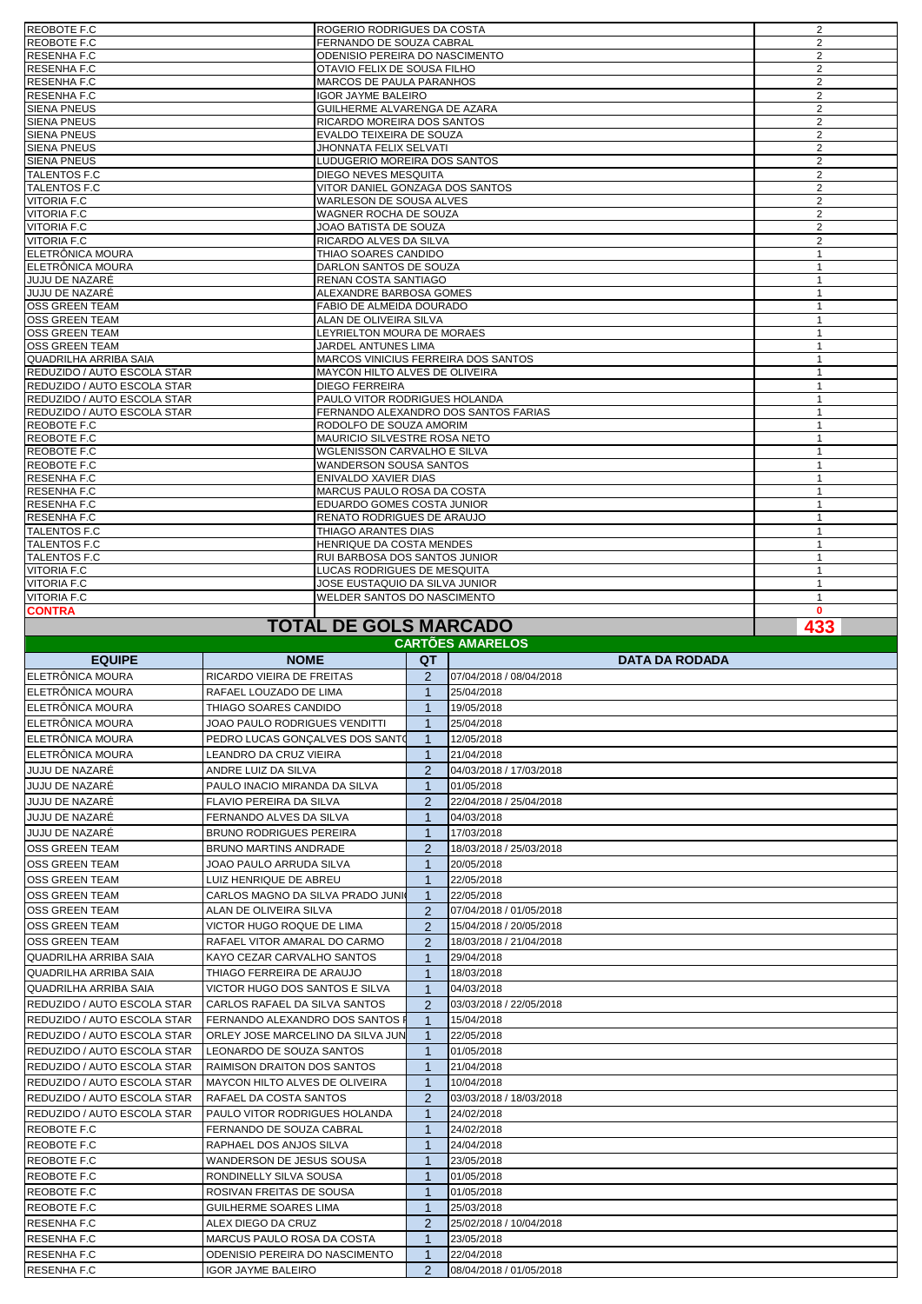| REOBOTE F.C                 | ROGERIO RODRIGUES DA COSTA           | 2              |
|-----------------------------|--------------------------------------|----------------|
| REOBOTE F.C                 | FERNANDO DE SOUZA CABRAL             | 2              |
| RESENHA F.C                 | ODENISIO PEREIRA DO NASCIMENTO       | 2              |
| RESENHA F.C                 | OTAVIO FELIX DE SOUSA FILHO          | 2              |
| RESENHA F.C                 | MARCOS DE PAULA PARANHOS             | 2              |
| RESENHA F.C                 | <b>IGOR JAYME BALEIRO</b>            | 2              |
| <b>SIENA PNEUS</b>          | GUILHERME ALVARENGA DE AZARA         | 2              |
| <b>SIENA PNEUS</b>          | RICARDO MOREIRA DOS SANTOS           | 2              |
| <b>SIENA PNEUS</b>          | EVALDO TEIXEIRA DE SOUZA             | 2              |
| <b>SIENA PNEUS</b>          | JHONNATA FELIX SELVATI               | 2              |
| <b>SIENA PNEUS</b>          | LUDUGERIO MOREIRA DOS SANTOS         | 2              |
| TALENTOS F.C                | DIEGO NEVES MESQUITA                 | 2              |
| TALENTOS F.C                | VITOR DANIEL GONZAGA DOS SANTOS      | 2              |
| <b>VITORIA F.C</b>          | WARLESON DE SOUSA ALVES              | 2              |
| VITORIA F.C                 | WAGNER ROCHA DE SOUZA                | 2              |
| VITORIA F.C                 | JOAO BATISTA DE SOUZA                | 2              |
| VITORIA F.C                 | RICARDO ALVES DA SILVA               | 2              |
| ELETRÖNICA MOURA            | THIAO SOARES CANDIDO                 | $\mathbf{1}$   |
| ELETRÖNICA MOURA            | DARLON SANTOS DE SOUZA               | $\mathbf{1}$   |
| JUJU DE NAZARĖ              | RENAN COSTA SANTIAGO                 | $\mathbf{1}$   |
| JUJU DE NAZARÉ              | ALEXANDRE BARBOSA GOMES              | $\mathbf{1}$   |
| OSS GREEN TEAM              | FABIO DE ALMEIDA DOURADO             | $\mathbf{1}$   |
| OSS GREEN TEAM              | ALAN DE OLIVEIRA SILVA               | $\mathbf{1}$   |
| OSS GREEN TEAM              | LEYRIELTON MOURA DE MORAES           | $\overline{1}$ |
| OSS GREEN TEAM              | JARDEL ANTUNES LIMA                  | $\mathbf{1}$   |
| QUADRILHA ARRIBA SAIA       | MARCOS VINICIUS FERREIRA DOS SANTOS  | $\mathbf{1}$   |
| REDUZIDO / AUTO ESCOLA STAR | MAYCON HILTO ALVES DE OLIVEIRA       | $\mathbf{1}$   |
| REDUZIDO / AUTO ESCOLA STAR | <b>DIEGO FERREIRA</b>                | $\mathbf{1}$   |
| REDUZIDO / AUTO ESCOLA STAR | PAULO VITOR RODRIGUES HOLANDA        | $\overline{1}$ |
| REDUZIDO / AUTO ESCOLA STAR | FERNANDO ALEXANDRO DOS SANTOS FARIAS | $\mathbf{1}$   |
| REOBOTE F.C                 | RODOLFO DE SOUZA AMORIM              | $\mathbf{1}$   |
| REOBOTE F.C                 | MAURICIO SILVESTRE ROSA NETO         | $\mathbf{1}$   |
| REOBOTE F.C                 | WGLENISSON CARVALHO E SILVA          | $\mathbf{1}$   |
| REOBOTE F.C                 | <b>WANDERSON SOUSA SANTOS</b>        | $\mathbf{1}$   |
| RESENHA F.C                 | ENIVALDO XAVIER DIAS                 | $\mathbf{1}$   |
| RESENHA F.C                 | MARCUS PAULO ROSA DA COSTA           | $\mathbf{1}$   |
| RESENHA F.C                 | EDUARDO GOMES COSTA JUNIOR           | $\mathbf{1}$   |
| RESENHA F.C                 | RENATO RODRIGUES DE ARAUJO           | $\mathbf{1}$   |
| TALENTOS F.C                | THIAGO ARANTES DIAS                  | $\mathbf{1}$   |
| TALENTOS F.C                | HENRIQUE DA COSTA MENDES             | $\mathbf{1}$   |
| TALENTOS F.C                | RUI BARBOSA DOS SANTOS JUNIOR        | $\mathbf{1}$   |
| <b>VITORIA F.C</b>          | LUCAS RODRIGUES DE MESQUITA          | $\overline{1}$ |
| VITORIA F.C                 | JOSE EUSTAQUIO DA SILVA JUNIOR       | $\mathbf{1}$   |
| VITORIA F.C                 | WELDER SANTOS DO NASCIMENTO          | $\mathbf{1}$   |
| <b>CONTRA</b>               |                                      | $\Omega$       |
|                             | <b>TOTAL DE GOLS MARCADO</b>         | 433            |

## **TOTAL DE GOLS MARCADO**

| <b>CARTOES AMARELOS</b>      |                                    |                |                         |  |  |  |  |
|------------------------------|------------------------------------|----------------|-------------------------|--|--|--|--|
| <b>EQUIPE</b>                | <b>NOME</b>                        | QT             | <b>DATA DA RODADA</b>   |  |  |  |  |
| ELETRÔNICA MOURA             | RICARDO VIEIRA DE FREITAS          | $\overline{2}$ | 07/04/2018 / 08/04/2018 |  |  |  |  |
| ELETRÖNICA MOURA             | RAFAEL LOUZADO DE LIMA             | $\mathbf 1$    | 25/04/2018              |  |  |  |  |
| ELETRÔNICA MOURA             | THIAGO SOARES CANDIDO              | $\mathbf 1$    | 19/05/2018              |  |  |  |  |
| ELETRÔNICA MOURA             | JOAO PAULO RODRIGUES VENDITTI      | $\mathbf{1}$   | 25/04/2018              |  |  |  |  |
| <b>IELETRÔNICA MOURA</b>     | PEDRO LUCAS GONÇALVES DOS SANTO    | $\mathbf{1}$   | 12/05/2018              |  |  |  |  |
| ELETRÔNICA MOURA             | LEANDRO DA CRUZ VIEIRA             | $\mathbf{1}$   | 21/04/2018              |  |  |  |  |
| <b>JUJU DE NAZARE</b>        | ANDRE LUIZ DA SILVA                | $\overline{2}$ | 04/03/2018 / 17/03/2018 |  |  |  |  |
| <b>JUJU DE NAZARÉ</b>        | PAULO INACIO MIRANDA DA SILVA      | $\mathbf{1}$   | 01/05/2018              |  |  |  |  |
| <b>JUJU DE NAZARE</b>        | FLAVIO PEREIRA DA SILVA            | $\overline{2}$ | 22/04/2018 / 25/04/2018 |  |  |  |  |
| JUJU DE NAZARÊ               | FERNANDO ALVES DA SILVA            | $\mathbf{1}$   | 04/03/2018              |  |  |  |  |
| <b>JUJU DE NAZARÉ</b>        | <b>BRUNO RODRIGUES PEREIRA</b>     | $\mathbf{1}$   | 17/03/2018              |  |  |  |  |
| <b>OSS GREEN TEAM</b>        | <b>BRUNO MARTINS ANDRADE</b>       | $\overline{2}$ | 18/03/2018 / 25/03/2018 |  |  |  |  |
| <b>OSS GREEN TEAM</b>        | JOAO PAULO ARRUDA SILVA            | $\mathbf{1}$   | 20/05/2018              |  |  |  |  |
| <b>IOSS GREEN TEAM</b>       | LUIZ HENRIQUE DE ABREU             | $\mathbf{1}$   | 22/05/2018              |  |  |  |  |
| <b>OSS GREEN TEAM</b>        | CARLOS MAGNO DA SILVA PRADO JUNIO  | $\mathbf{1}$   | 22/05/2018              |  |  |  |  |
| <b>OSS GREEN TEAM</b>        | ALAN DE OLIVEIRA SILVA             | $\overline{2}$ | 07/04/2018 / 01/05/2018 |  |  |  |  |
| <b>OSS GREEN TEAM</b>        | VICTOR HUGO ROQUE DE LIMA          | $\overline{2}$ | 15/04/2018 / 20/05/2018 |  |  |  |  |
| <b>OSS GREEN TEAM</b>        | RAFAEL VITOR AMARAL DO CARMO       | $\overline{2}$ | 18/03/2018 / 21/04/2018 |  |  |  |  |
| <b>QUADRILHA ARRIBA SAIA</b> | KAYO CEZAR CARVALHO SANTOS         | 1              | 29/04/2018              |  |  |  |  |
| <b>QUADRILHA ARRIBA SAIA</b> | THIAGO FERREIRA DE ARAUJO          | $\mathbf{1}$   | 18/03/2018              |  |  |  |  |
| QUADRILHA ARRIBA SAIA        | VICTOR HUGO DOS SANTOS E SILVA     | $\mathbf{1}$   | 04/03/2018              |  |  |  |  |
| REDUZIDO / AUTO ESCOLA STAR  | CARLOS RAFAEL DA SILVA SANTOS      | $\overline{2}$ | 03/03/2018 / 22/05/2018 |  |  |  |  |
| REDUZIDO / AUTO ESCOLA STAR  | FERNANDO ALEXANDRO DOS SANTOS      | $\overline{1}$ | 15/04/2018              |  |  |  |  |
| REDUZIDO / AUTO ESCOLA STAR  | ORLEY JOSE MARCELINO DA SILVA JUN  | $\overline{1}$ | 22/05/2018              |  |  |  |  |
| REDUZIDO / AUTO ESCOLA STAR  | LEONARDO DE SOUZA SANTOS           | $\mathbf{1}$   | 01/05/2018              |  |  |  |  |
| REDUZIDO / AUTO ESCOLA STAR  | <b>RAIMISON DRAITON DOS SANTOS</b> | 1              | 21/04/2018              |  |  |  |  |
| REDUZIDO / AUTO ESCOLA STAR  | MAYCON HILTO ALVES DE OLIVEIRA     | $\mathbf{1}$   | 10/04/2018              |  |  |  |  |
| REDUZIDO / AUTO ESCOLA STAR  | RAFAEL DA COSTA SANTOS             | $\overline{2}$ | 03/03/2018 / 18/03/2018 |  |  |  |  |
| REDUZIDO / AUTO ESCOLA STAR  | PAULO VITOR RODRIGUES HOLANDA      | $\mathbf{1}$   | 24/02/2018              |  |  |  |  |
| REOBOTE F.C                  | FERNANDO DE SOUZA CABRAL           | $\mathbf{1}$   | 24/02/2018              |  |  |  |  |
| REOBOTE F.C                  | RAPHAEL DOS ANJOS SILVA            | 1              | 24/04/2018              |  |  |  |  |
| REOBOTE F.C                  | WANDERSON DE JESUS SOUSA           | $\mathbf 1$    | 23/05/2018              |  |  |  |  |
| REOBOTE F.C                  | RONDINELLY SILVA SOUSA             | 1              | 01/05/2018              |  |  |  |  |
| <b>REOBOTE F.C</b>           | ROSIVAN FREITAS DE SOUSA           | $\mathbf{1}$   | 01/05/2018              |  |  |  |  |
| REOBOTE F.C                  | GUILHERME SOARES LIMA              | $\mathbf{1}$   | 25/03/2018              |  |  |  |  |
| RESENHA F.C                  | ALEX DIEGO DA CRUZ                 | $\overline{2}$ | 25/02/2018 / 10/04/2018 |  |  |  |  |
| <b>RESENHA F.C</b>           | <b>MARCUS PAULO ROSA DA COSTA</b>  | 1              | 23/05/2018              |  |  |  |  |
| <b>RESENHAF.C</b>            | ODENISIO PEREIRA DO NASCIMENTO     | 1              | 22/04/2018              |  |  |  |  |
| <b>RESENHA F.C</b>           | <b>IGOR JAYME BALEIRO</b>          | $\overline{2}$ | 08/04/2018 / 01/05/2018 |  |  |  |  |